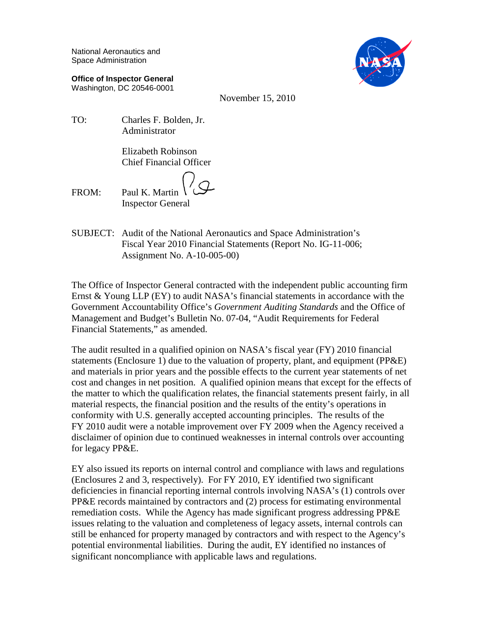National Aeronautics and Space Administration

**Office of Inspector General** Washington, DC 20546-0001



November 15, 2010

TO: Charles F. Bolden, Jr. Administrator

> Elizabeth Robinson Chief Financial Officer

FROM: Paul K. Martin Inspector General

SUBJECT: Audit of the National Aeronautics and Space Administration's Fiscal Year 2010 Financial Statements (Report No. IG-11-006; Assignment No. A-10-005-00)

The Office of Inspector General contracted with the independent public accounting firm Ernst & Young LLP (EY) to audit NASA's financial statements in accordance with the Government Accountability Office's *Government Auditing Standards* and the Office of Management and Budget's Bulletin No. 07-04, "Audit Requirements for Federal Financial Statements," as amended.

The audit resulted in a qualified opinion on NASA's fiscal year (FY) 2010 financial statements (Enclosure 1) due to the valuation of property, plant, and equipment (PP&E) and materials in prior years and the possible effects to the current year statements of net cost and changes in net position. A qualified opinion means that except for the effects of the matter to which the qualification relates, the financial statements present fairly, in all material respects, the financial position and the results of the entity's operations in conformity with U.S. generally accepted accounting principles. The results of the FY 2010 audit were a notable improvement over FY 2009 when the Agency received a disclaimer of opinion due to continued weaknesses in internal controls over accounting for legacy PP&E.

EY also issued its reports on internal control and compliance with laws and regulations (Enclosures 2 and 3, respectively). For FY 2010, EY identified two significant deficiencies in financial reporting internal controls involving NASA's (1) controls over PP&E records maintained by contractors and (2) process for estimating environmental remediation costs. While the Agency has made significant progress addressing PP&E issues relating to the valuation and completeness of legacy assets, internal controls can still be enhanced for property managed by contractors and with respect to the Agency's potential environmental liabilities. During the audit, EY identified no instances of significant noncompliance with applicable laws and regulations.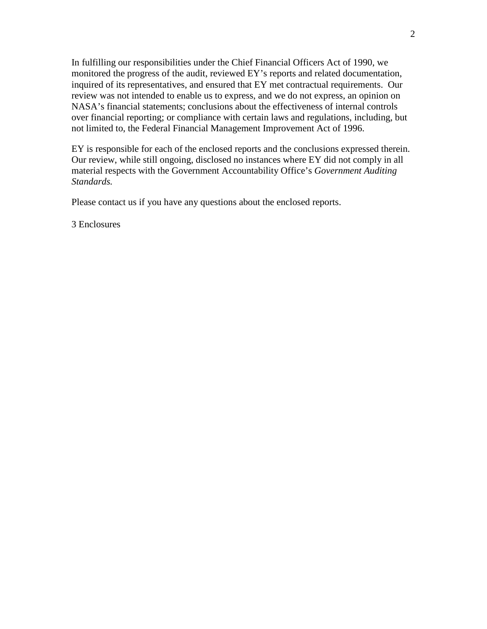In fulfilling our responsibilities under the Chief Financial Officers Act of 1990, we monitored the progress of the audit, reviewed EY's reports and related documentation, inquired of its representatives, and ensured that EY met contractual requirements. Our review was not intended to enable us to express, and we do not express, an opinion on NASA's financial statements; conclusions about the effectiveness of internal controls over financial reporting; or compliance with certain laws and regulations, including, but not limited to, the Federal Financial Management Improvement Act of 1996.

EY is responsible for each of the enclosed reports and the conclusions expressed therein. Our review, while still ongoing, disclosed no instances where EY did not comply in all material respects with the Government Accountability Office's *Government Auditing Standards.*

Please contact us if you have any questions about the enclosed reports.

3 Enclosures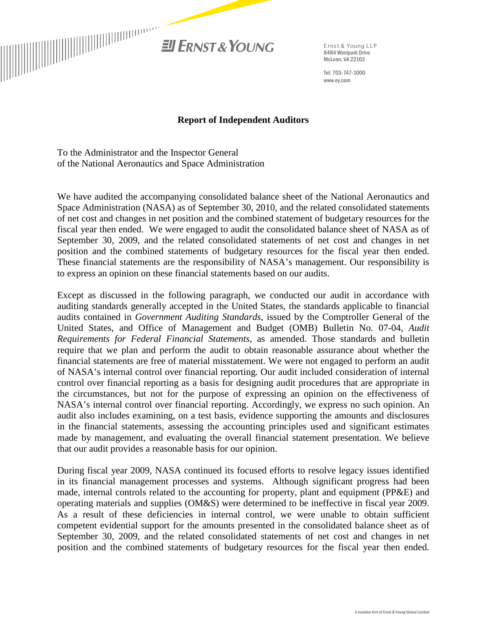

Tel: 703-747-1000 www.ey.com

#### **Report of Independent Auditors**

To the Administrator and the Inspector General of the National Aeronautics and Space Administration

We have audited the accompanying consolidated balance sheet of the National Aeronautics and Space Administration (NASA) as of September 30, 2010, and the related consolidated statements of net cost and changes in net position and the combined statement of budgetary resources for the fiscal year then ended. We were engaged to audit the consolidated balance sheet of NASA as of September 30, 2009, and the related consolidated statements of net cost and changes in net position and the combined statements of budgetary resources for the fiscal year then ended. These financial statements are the responsibility of NASA's management. Our responsibility is to express an opinion on these financial statements based on our audits.

Except as discussed in the following paragraph, we conducted our audit in accordance with auditing standards generally accepted in the United States, the standards applicable to financial audits contained in *Government Auditing Standards*, issued by the Comptroller General of the United States, and Office of Management and Budget (OMB) Bulletin No. 07-04*, Audit Requirements for Federal Financial Statements*, as amended. Those standards and bulletin require that we plan and perform the audit to obtain reasonable assurance about whether the financial statements are free of material misstatement. We were not engaged to perform an audit of NASA's internal control over financial reporting. Our audit included consideration of internal control over financial reporting as a basis for designing audit procedures that are appropriate in the circumstances, but not for the purpose of expressing an opinion on the effectiveness of NASA's internal control over financial reporting. Accordingly, we express no such opinion. An audit also includes examining, on a test basis, evidence supporting the amounts and disclosures in the financial statements, assessing the accounting principles used and significant estimates made by management, and evaluating the overall financial statement presentation. We believe that our audit provides a reasonable basis for our opinion.

During fiscal year 2009, NASA continued its focused efforts to resolve legacy issues identified in its financial management processes and systems. Although significant progress had been made, internal controls related to the accounting for property, plant and equipment (PP&E) and operating materials and supplies (OM&S) were determined to be ineffective in fiscal year 2009. As a result of these deficiencies in internal control, we were unable to obtain sufficient competent evidential support for the amounts presented in the consolidated balance sheet as of September 30, 2009, and the related consolidated statements of net cost and changes in net position and the combined statements of budgetary resources for the fiscal year then ended.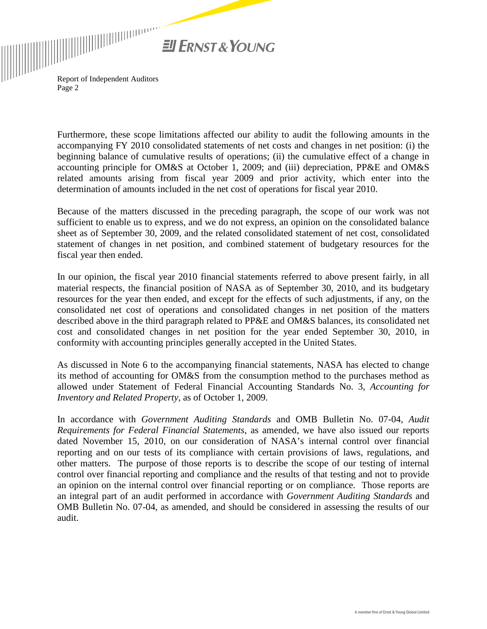

Report of Independent Auditors Page 2

Furthermore, these scope limitations affected our ability to audit the following amounts in the accompanying FY 2010 consolidated statements of net costs and changes in net position: (i) the beginning balance of cumulative results of operations; (ii) the cumulative effect of a change in accounting principle for OM&S at October 1, 2009; and (iii) depreciation, PP&E and OM&S related amounts arising from fiscal year 2009 and prior activity, which enter into the determination of amounts included in the net cost of operations for fiscal year 2010.

Because of the matters discussed in the preceding paragraph, the scope of our work was not sufficient to enable us to express, and we do not express, an opinion on the consolidated balance sheet as of September 30, 2009, and the related consolidated statement of net cost, consolidated statement of changes in net position, and combined statement of budgetary resources for the fiscal year then ended.

In our opinion, the fiscal year 2010 financial statements referred to above present fairly, in all material respects, the financial position of NASA as of September 30, 2010, and its budgetary resources for the year then ended, and except for the effects of such adjustments, if any, on the consolidated net cost of operations and consolidated changes in net position of the matters described above in the third paragraph related to PP&E and OM&S balances, its consolidated net cost and consolidated changes in net position for the year ended September 30, 2010, in conformity with accounting principles generally accepted in the United States.

As discussed in Note 6 to the accompanying financial statements, NASA has elected to change its method of accounting for OM&S from the consumption method to the purchases method as allowed under Statement of Federal Financial Accounting Standards No. 3, *Accounting for Inventory and Related Property,* as of October 1, 2009.

In accordance with *Government Auditing Standards* and OMB Bulletin No. 07-04*, Audit Requirements for Federal Financial Statements*, as amended, we have also issued our reports dated November 15, 2010, on our consideration of NASA's internal control over financial reporting and on our tests of its compliance with certain provisions of laws, regulations, and other matters. The purpose of those reports is to describe the scope of our testing of internal control over financial reporting and compliance and the results of that testing and not to provide an opinion on the internal control over financial reporting or on compliance. Those reports are an integral part of an audit performed in accordance with *Government Auditing Standards* and OMB Bulletin No. 07-04, as amended, and should be considered in assessing the results of our audit.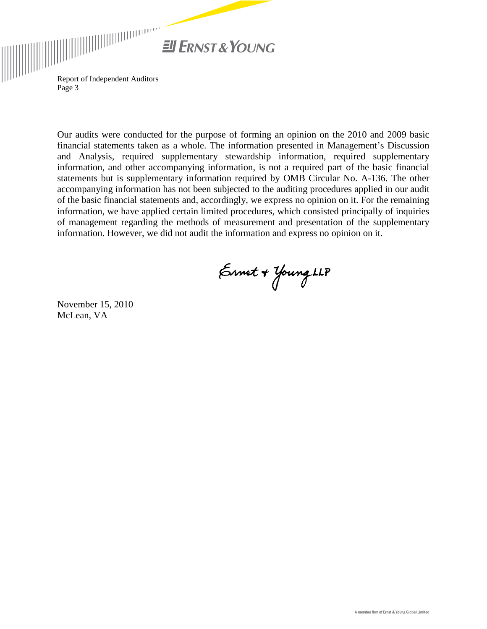

Report of Independent Auditors Page 3

Our audits were conducted for the purpose of forming an opinion on the 2010 and 2009 basic financial statements taken as a whole. The information presented in Management's Discussion and Analysis, required supplementary stewardship information, required supplementary information, and other accompanying information, is not a required part of the basic financial statements but is supplementary information required by OMB Circular No. A-136. The other accompanying information has not been subjected to the auditing procedures applied in our audit of the basic financial statements and, accordingly, we express no opinion on it. For the remaining information, we have applied certain limited procedures, which consisted principally of inquiries of management regarding the methods of measurement and presentation of the supplementary information. However, we did not audit the information and express no opinion on it.

Ernet + Young LLP

November 15, 2010 McLean, VA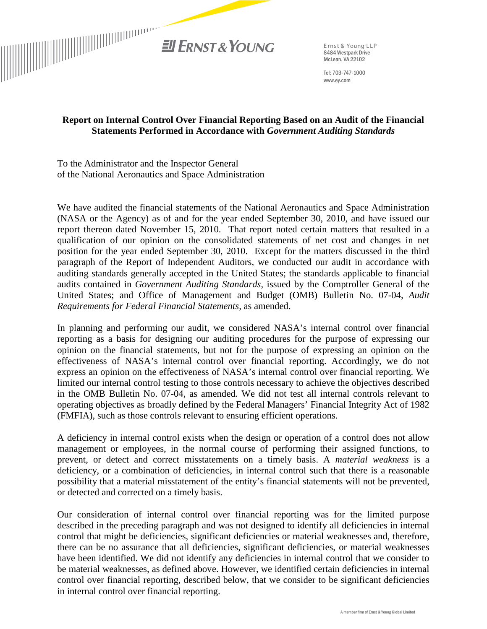

Tel: 703-747-1000 www.ey.com

## **Report on Internal Control Over Financial Reporting Based on an Audit of the Financial Statements Performed in Accordance with** *Government Auditing Standards*

To the Administrator and the Inspector General of the National Aeronautics and Space Administration

We have audited the financial statements of the National Aeronautics and Space Administration (NASA or the Agency) as of and for the year ended September 30, 2010, and have issued our report thereon dated November 15, 2010. That report noted certain matters that resulted in a qualification of our opinion on the consolidated statements of net cost and changes in net position for the year ended September 30, 2010. Except for the matters discussed in the third paragraph of the Report of Independent Auditors, we conducted our audit in accordance with auditing standards generally accepted in the United States; the standards applicable to financial audits contained in *Government Auditing Standards*, issued by the Comptroller General of the United States; and Office of Management and Budget (OMB) Bulletin No. 07-04, *Audit Requirements for Federal Financial Statements,* as amended.

In planning and performing our audit, we considered NASA's internal control over financial reporting as a basis for designing our auditing procedures for the purpose of expressing our opinion on the financial statements, but not for the purpose of expressing an opinion on the effectiveness of NASA's internal control over financial reporting. Accordingly, we do not express an opinion on the effectiveness of NASA's internal control over financial reporting. We limited our internal control testing to those controls necessary to achieve the objectives described in the OMB Bulletin No. 07-04, as amended. We did not test all internal controls relevant to operating objectives as broadly defined by the Federal Managers' Financial Integrity Act of 1982 (FMFIA), such as those controls relevant to ensuring efficient operations.

A deficiency in internal control exists when the design or operation of a control does not allow management or employees, in the normal course of performing their assigned functions, to prevent, or detect and correct misstatements on a timely basis. A *material weakness* is a deficiency, or a combination of deficiencies, in internal control such that there is a reasonable possibility that a material misstatement of the entity's financial statements will not be prevented, or detected and corrected on a timely basis.

Our consideration of internal control over financial reporting was for the limited purpose described in the preceding paragraph and was not designed to identify all deficiencies in internal control that might be deficiencies, significant deficiencies or material weaknesses and, therefore, there can be no assurance that all deficiencies, significant deficiencies, or material weaknesses have been identified. We did not identify any deficiencies in internal control that we consider to be material weaknesses, as defined above. However, we identified certain deficiencies in internal control over financial reporting, described below, that we consider to be significant deficiencies in internal control over financial reporting.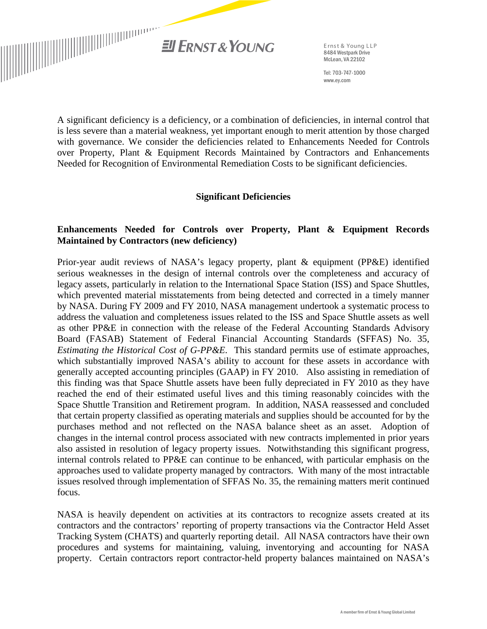

Tel: 703-747-1000 www.ey.com

A significant deficiency is a deficiency, or a combination of deficiencies, in internal control that is less severe than a material weakness, yet important enough to merit attention by those charged with governance. We consider the deficiencies related to Enhancements Needed for Controls over Property, Plant & Equipment Records Maintained by Contractors and Enhancements Needed for Recognition of Environmental Remediation Costs to be significant deficiencies.

### **Significant Deficiencies**

# **Enhancements Needed for Controls over Property, Plant & Equipment Records Maintained by Contractors (new deficiency)**

Prior-year audit reviews of NASA's legacy property, plant & equipment (PP&E) identified serious weaknesses in the design of internal controls over the completeness and accuracy of legacy assets, particularly in relation to the International Space Station (ISS) and Space Shuttles, which prevented material misstatements from being detected and corrected in a timely manner by NASA. During FY 2009 and FY 2010, NASA management undertook a systematic process to address the valuation and completeness issues related to the ISS and Space Shuttle assets as well as other PP&E in connection with the release of the Federal Accounting Standards Advisory Board (FASAB) Statement of Federal Financial Accounting Standards (SFFAS) No. 35, *Estimating the Historical Cost of G-PP&E*. This standard permits use of estimate approaches, which substantially improved NASA's ability to account for these assets in accordance with generally accepted accounting principles (GAAP) in FY 2010. Also assisting in remediation of this finding was that Space Shuttle assets have been fully depreciated in FY 2010 as they have reached the end of their estimated useful lives and this timing reasonably coincides with the Space Shuttle Transition and Retirement program. In addition, NASA reassessed and concluded that certain property classified as operating materials and supplies should be accounted for by the purchases method and not reflected on the NASA balance sheet as an asset. Adoption of changes in the internal control process associated with new contracts implemented in prior years also assisted in resolution of legacy property issues. Notwithstanding this significant progress, internal controls related to PP&E can continue to be enhanced, with particular emphasis on the approaches used to validate property managed by contractors. With many of the most intractable issues resolved through implementation of SFFAS No. 35, the remaining matters merit continued focus.

NASA is heavily dependent on activities at its contractors to recognize assets created at its contractors and the contractors' reporting of property transactions via the Contractor Held Asset Tracking System (CHATS) and quarterly reporting detail. All NASA contractors have their own procedures and systems for maintaining, valuing, inventorying and accounting for NASA property. Certain contractors report contractor-held property balances maintained on NASA's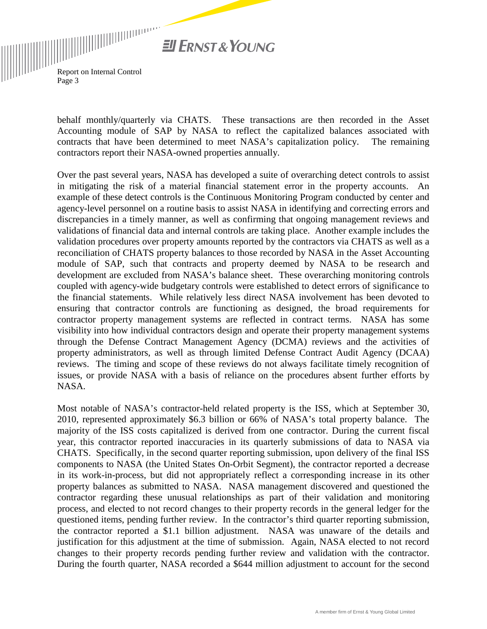

behalf monthly/quarterly via CHATS. These transactions are then recorded in the Asset Accounting module of SAP by NASA to reflect the capitalized balances associated with contracts that have been determined to meet NASA's capitalization policy. The remaining contractors report their NASA-owned properties annually.

Over the past several years, NASA has developed a suite of overarching detect controls to assist in mitigating the risk of a material financial statement error in the property accounts. An example of these detect controls is the Continuous Monitoring Program conducted by center and agency-level personnel on a routine basis to assist NASA in identifying and correcting errors and discrepancies in a timely manner, as well as confirming that ongoing management reviews and validations of financial data and internal controls are taking place. Another example includes the validation procedures over property amounts reported by the contractors via CHATS as well as a reconciliation of CHATS property balances to those recorded by NASA in the Asset Accounting module of SAP, such that contracts and property deemed by NASA to be research and development are excluded from NASA's balance sheet. These overarching monitoring controls coupled with agency-wide budgetary controls were established to detect errors of significance to the financial statements. While relatively less direct NASA involvement has been devoted to ensuring that contractor controls are functioning as designed, the broad requirements for contractor property management systems are reflected in contract terms. NASA has some visibility into how individual contractors design and operate their property management systems through the Defense Contract Management Agency (DCMA) reviews and the activities of property administrators, as well as through limited Defense Contract Audit Agency (DCAA) reviews. The timing and scope of these reviews do not always facilitate timely recognition of issues, or provide NASA with a basis of reliance on the procedures absent further efforts by NASA.

Most notable of NASA's contractor-held related property is the ISS, which at September 30, 2010, represented approximately \$6.3 billion or 66% of NASA's total property balance. The majority of the ISS costs capitalized is derived from one contractor. During the current fiscal year, this contractor reported inaccuracies in its quarterly submissions of data to NASA via CHATS. Specifically, in the second quarter reporting submission, upon delivery of the final ISS components to NASA (the United States On-Orbit Segment), the contractor reported a decrease in its work-in-process, but did not appropriately reflect a corresponding increase in its other property balances as submitted to NASA. NASA management discovered and questioned the contractor regarding these unusual relationships as part of their validation and monitoring process, and elected to not record changes to their property records in the general ledger for the questioned items, pending further review. In the contractor's third quarter reporting submission, the contractor reported a \$1.1 billion adjustment. NASA was unaware of the details and justification for this adjustment at the time of submission. Again, NASA elected to not record changes to their property records pending further review and validation with the contractor. During the fourth quarter, NASA recorded a \$644 million adjustment to account for the second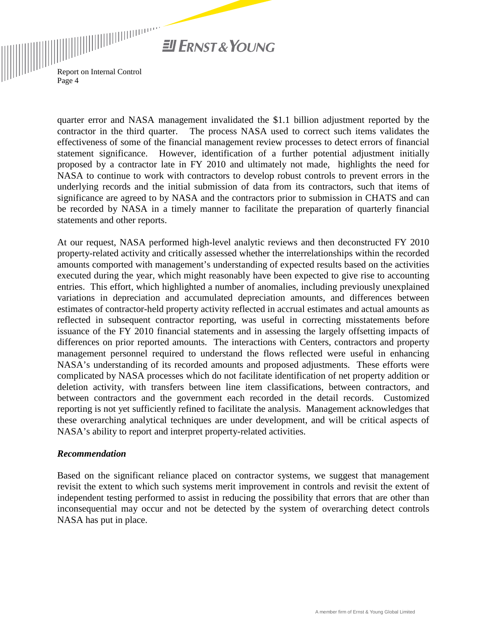

> quarter error and NASA management invalidated the \$1.1 billion adjustment reported by the contractor in the third quarter. The process NASA used to correct such items validates the effectiveness of some of the financial management review processes to detect errors of financial statement significance. However, identification of a further potential adjustment initially proposed by a contractor late in FY 2010 and ultimately not made, highlights the need for NASA to continue to work with contractors to develop robust controls to prevent errors in the underlying records and the initial submission of data from its contractors, such that items of significance are agreed to by NASA and the contractors prior to submission in CHATS and can be recorded by NASA in a timely manner to facilitate the preparation of quarterly financial statements and other reports.

> At our request, NASA performed high-level analytic reviews and then deconstructed FY 2010 property-related activity and critically assessed whether the interrelationships within the recorded amounts comported with management's understanding of expected results based on the activities executed during the year, which might reasonably have been expected to give rise to accounting entries. This effort, which highlighted a number of anomalies, including previously unexplained variations in depreciation and accumulated depreciation amounts, and differences between estimates of contractor-held property activity reflected in accrual estimates and actual amounts as reflected in subsequent contractor reporting, was useful in correcting misstatements before issuance of the FY 2010 financial statements and in assessing the largely offsetting impacts of differences on prior reported amounts. The interactions with Centers, contractors and property management personnel required to understand the flows reflected were useful in enhancing NASA's understanding of its recorded amounts and proposed adjustments. These efforts were complicated by NASA processes which do not facilitate identification of net property addition or deletion activity, with transfers between line item classifications, between contractors, and between contractors and the government each recorded in the detail records. Customized reporting is not yet sufficiently refined to facilitate the analysis. Management acknowledges that these overarching analytical techniques are under development, and will be critical aspects of NASA's ability to report and interpret property-related activities.

#### *Recommendation*

Based on the significant reliance placed on contractor systems, we suggest that management revisit the extent to which such systems merit improvement in controls and revisit the extent of independent testing performed to assist in reducing the possibility that errors that are other than inconsequential may occur and not be detected by the system of overarching detect controls NASA has put in place.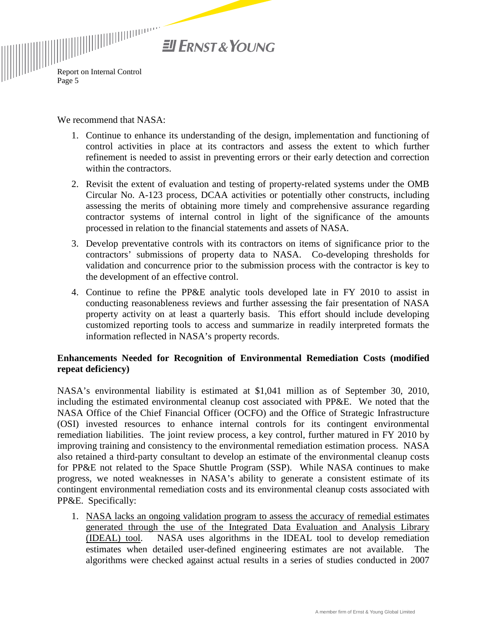

We recommend that NASA:

- 1. Continue to enhance its understanding of the design, implementation and functioning of control activities in place at its contractors and assess the extent to which further refinement is needed to assist in preventing errors or their early detection and correction within the contractors.
- 2. Revisit the extent of evaluation and testing of property-related systems under the OMB Circular No. A-123 process, DCAA activities or potentially other constructs, including assessing the merits of obtaining more timely and comprehensive assurance regarding contractor systems of internal control in light of the significance of the amounts processed in relation to the financial statements and assets of NASA.
- 3. Develop preventative controls with its contractors on items of significance prior to the contractors' submissions of property data to NASA. Co-developing thresholds for validation and concurrence prior to the submission process with the contractor is key to the development of an effective control.
- 4. Continue to refine the PP&E analytic tools developed late in FY 2010 to assist in conducting reasonableness reviews and further assessing the fair presentation of NASA property activity on at least a quarterly basis. This effort should include developing customized reporting tools to access and summarize in readily interpreted formats the information reflected in NASA's property records.

### **Enhancements Needed for Recognition of Environmental Remediation Costs (modified repeat deficiency)**

NASA's environmental liability is estimated at \$1,041 million as of September 30, 2010, including the estimated environmental cleanup cost associated with PP&E. We noted that the NASA Office of the Chief Financial Officer (OCFO) and the Office of Strategic Infrastructure (OSI) invested resources to enhance internal controls for its contingent environmental remediation liabilities. The joint review process, a key control, further matured in FY 2010 by improving training and consistency to the environmental remediation estimation process. NASA also retained a third-party consultant to develop an estimate of the environmental cleanup costs for PP&E not related to the Space Shuttle Program (SSP). While NASA continues to make progress, we noted weaknesses in NASA's ability to generate a consistent estimate of its contingent environmental remediation costs and its environmental cleanup costs associated with PP&E. Specifically:

1. NASA lacks an ongoing validation program to assess the accuracy of remedial estimates generated through the use of the Integrated Data Evaluation and Analysis Library (IDEAL) tool. NASA uses algorithms in the IDEAL tool to develop remediation estimates when detailed user-defined engineering estimates are not available. The algorithms were checked against actual results in a series of studies conducted in 2007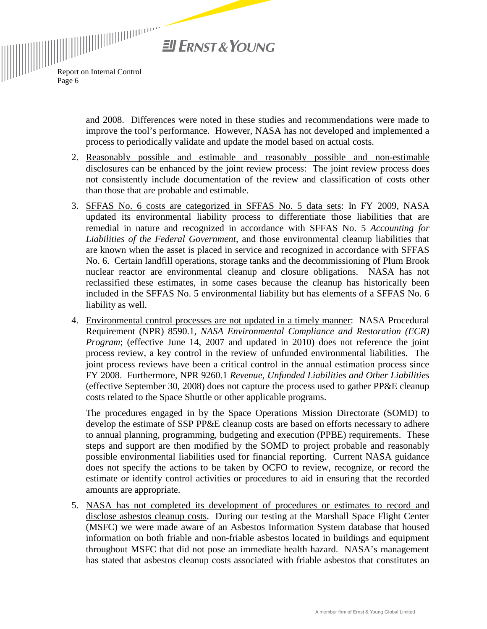

> and 2008. Differences were noted in these studies and recommendations were made to improve the tool's performance. However, NASA has not developed and implemented a process to periodically validate and update the model based on actual costs.

- 2. Reasonably possible and estimable and reasonably possible and non-estimable disclosures can be enhanced by the joint review process: The joint review process does not consistently include documentation of the review and classification of costs other than those that are probable and estimable.
- 3. SFFAS No. 6 costs are categorized in SFFAS No. 5 data sets: In FY 2009, NASA updated its environmental liability process to differentiate those liabilities that are remedial in nature and recognized in accordance with SFFAS No. 5 *Accounting for Liabilities of the Federal Government,* and those environmental cleanup liabilities that are known when the asset is placed in service and recognized in accordance with SFFAS No. 6. Certain landfill operations, storage tanks and the decommissioning of Plum Brook nuclear reactor are environmental cleanup and closure obligations. NASA has not reclassified these estimates, in some cases because the cleanup has historically been included in the SFFAS No. 5 environmental liability but has elements of a SFFAS No. 6 liability as well.
- 4. Environmental control processes are not updated in a timely manner: NASA Procedural Requirement (NPR) 8590.1, *NASA Environmental Compliance and Restoration (ECR) Program*; (effective June 14, 2007 and updated in 2010) does not reference the joint process review, a key control in the review of unfunded environmental liabilities. The joint process reviews have been a critical control in the annual estimation process since FY 2008. Furthermore, NPR 9260.1 *Revenue, Unfunded Liabilities and Other Liabilities* (effective September 30, 2008) does not capture the process used to gather PP&E cleanup costs related to the Space Shuttle or other applicable programs.

The procedures engaged in by the Space Operations Mission Directorate (SOMD) to develop the estimate of SSP PP&E cleanup costs are based on efforts necessary to adhere to annual planning, programming, budgeting and execution (PPBE) requirements. These steps and support are then modified by the SOMD to project probable and reasonably possible environmental liabilities used for financial reporting. Current NASA guidance does not specify the actions to be taken by OCFO to review, recognize, or record the estimate or identify control activities or procedures to aid in ensuring that the recorded amounts are appropriate.

5. NASA has not completed its development of procedures or estimates to record and disclose asbestos cleanup costs. During our testing at the Marshall Space Flight Center (MSFC) we were made aware of an Asbestos Information System database that housed information on both friable and non-friable asbestos located in buildings and equipment throughout MSFC that did not pose an immediate health hazard. NASA's management has stated that asbestos cleanup costs associated with friable asbestos that constitutes an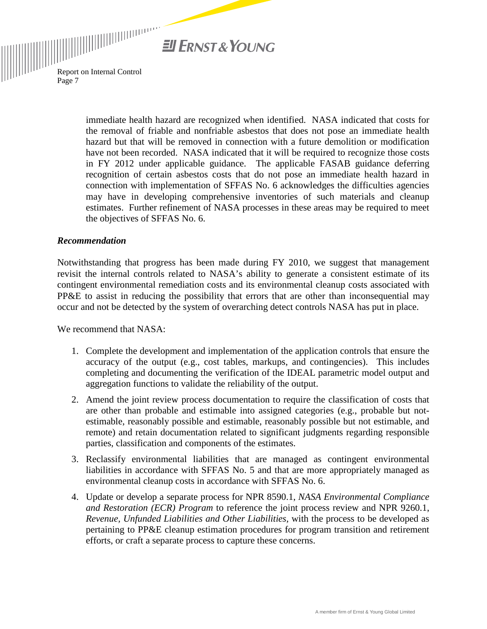

 $\begin{equation*} \begin{aligned} \begin{aligned} \text{Report on Internal Control} \end{aligned} \end{equation*} \end{equation*}$ Page 7

> immediate health hazard are recognized when identified. NASA indicated that costs for the removal of friable and nonfriable asbestos that does not pose an immediate health hazard but that will be removed in connection with a future demolition or modification have not been recorded. NASA indicated that it will be required to recognize those costs in FY 2012 under applicable guidance. The applicable FASAB guidance deferring recognition of certain asbestos costs that do not pose an immediate health hazard in connection with implementation of SFFAS No. 6 acknowledges the difficulties agencies may have in developing comprehensive inventories of such materials and cleanup estimates. Further refinement of NASA processes in these areas may be required to meet the objectives of SFFAS No. 6.

#### *Recommendation*

Notwithstanding that progress has been made during FY 2010, we suggest that management revisit the internal controls related to NASA's ability to generate a consistent estimate of its contingent environmental remediation costs and its environmental cleanup costs associated with PP&E to assist in reducing the possibility that errors that are other than inconsequential may occur and not be detected by the system of overarching detect controls NASA has put in place.

We recommend that NASA:

- 1. Complete the development and implementation of the application controls that ensure the accuracy of the output (e.g., cost tables, markups, and contingencies). This includes completing and documenting the verification of the IDEAL parametric model output and aggregation functions to validate the reliability of the output.
- 2. Amend the joint review process documentation to require the classification of costs that are other than probable and estimable into assigned categories (e.g., probable but notestimable, reasonably possible and estimable, reasonably possible but not estimable, and remote) and retain documentation related to significant judgments regarding responsible parties, classification and components of the estimates.
- 3. Reclassify environmental liabilities that are managed as contingent environmental liabilities in accordance with SFFAS No. 5 and that are more appropriately managed as environmental cleanup costs in accordance with SFFAS No. 6.
- 4. Update or develop a separate process for NPR 8590.1, *NASA Environmental Compliance and Restoration (ECR) Program* to reference the joint process review and NPR 9260.1, *Revenue, Unfunded Liabilities and Other Liabilities,* with the process to be developed as pertaining to PP&E cleanup estimation procedures for program transition and retirement efforts, or craft a separate process to capture these concerns.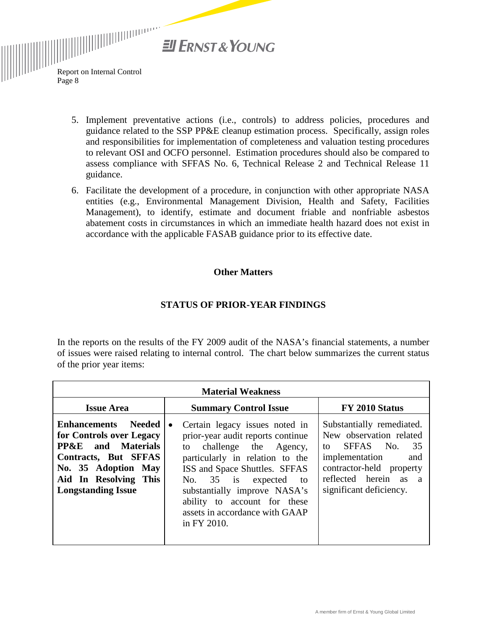**Ell ERNST & YOUNG** 

 $\begin{equation*} \begin{aligned} \begin{aligned} \mathbf{R} & \mathbf{R} \\ \end{aligned} \end{equation*} \begin{aligned} \begin{aligned} \mathbf{R} & \mathbf{R} \\ & \mathbf{R} \end{aligned} \end{equation*} \begin{aligned} \begin{aligned} \mathbf{R} & \mathbf{R} \\ & \mathbf{R} \end{aligned} \end{equation*} \begin{aligned} \begin{aligned} \mathbf{R} & \mathbf{R} \\ & \mathbf{R} \end{aligned} \end{aligned} \begin{aligned} \begin{aligned} \mathbf{R} & \mathbf{R} \\ & \mathbf{R} \end{aligned} \end{aligned} \begin{aligned} \begin{aligned$ Page 8

- 5. Implement preventative actions (i.e., controls) to address policies, procedures and guidance related to the SSP PP&E cleanup estimation process. Specifically, assign roles and responsibilities for implementation of completeness and valuation testing procedures to relevant OSI and OCFO personnel. Estimation procedures should also be compared to assess compliance with SFFAS No. 6, Technical Release 2 and Technical Release 11 guidance.
- 6. Facilitate the development of a procedure, in conjunction with other appropriate NASA entities (e.g., Environmental Management Division, Health and Safety, Facilities Management), to identify, estimate and document friable and nonfriable asbestos abatement costs in circumstances in which an immediate health hazard does not exist in accordance with the applicable FASAB guidance prior to its effective date.

#### **Other Matters**

### **STATUS OF PRIOR-YEAR FINDINGS**

In the reports on the results of the FY 2009 audit of the NASA's financial statements, a number of issues were raised relating to internal control. The chart below summarizes the current status of the prior year items:

| <b>Material Weakness</b>                                                                                                                                                                     |                                                                                                                                                                                                                                                                                                                               |                                                                                                                                                                                                           |
|----------------------------------------------------------------------------------------------------------------------------------------------------------------------------------------------|-------------------------------------------------------------------------------------------------------------------------------------------------------------------------------------------------------------------------------------------------------------------------------------------------------------------------------|-----------------------------------------------------------------------------------------------------------------------------------------------------------------------------------------------------------|
| <b>Issue Area</b>                                                                                                                                                                            | <b>Summary Control Issue</b>                                                                                                                                                                                                                                                                                                  | FY 2010 Status                                                                                                                                                                                            |
| <b>Enhancements</b> Needed<br>for Controls over Legacy<br><b>PP&amp;E</b> and Materials<br>Contracts, But SFFAS<br>No. 35 Adoption May<br>Aid In Resolving This<br><b>Longstanding Issue</b> | Certain legacy issues noted in<br>$\bullet$<br>prior-year audit reports continue<br>to challenge the Agency,<br>particularly in relation to the<br>ISS and Space Shuttles. SFFAS<br>No. 35 is expected<br>to<br>substantially improve NASA's<br>ability to account for these<br>assets in accordance with GAAP<br>in FY 2010. | Substantially remediated.<br>New observation related<br>SFFAS No.<br>35<br>to<br>implementation<br>and<br>contractor-held property<br>reflected herein<br>as<br>$\overline{a}$<br>significant deficiency. |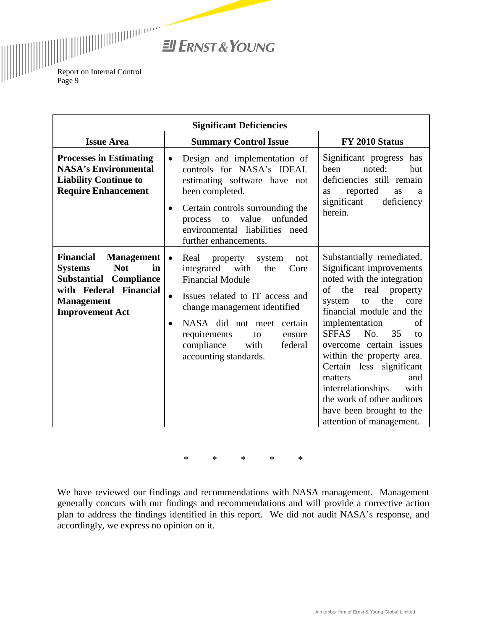**El ERNST & YOUNG** 

 $\begin{equation*} \begin{equation*} \begin{bmatrix} \begin{bmatrix} \begin{bmatrix} \begin{bmatrix} \begin{bmatrix} \begin{bmatrix} \begin{bmatrix} \begin{bmatrix} \begin{bmatrix} \begin{bmatrix} \begin{bmatrix} \begin{bmatrix} \begin{bmatrix} \end{bmatrix} \end{bmatrix} \end{bmatrix} \end{bmatrix} \end{bmatrix} \end{bmatrix} \begin{bmatrix} \begin{bmatrix} \begin{bmatrix} \begin{bmatrix} \begin{bmatrix} \begin{bmatrix} \begin{bmatrix} \end{bmatrix} \end{bmatrix} \end{bmatrix} \end{bmatrix} \end{bmatrix} \end{equation*} \begin{equation*} \begin{bmatrix}$ Page 9

| <b>Significant Deficiencies</b>                                                                                                                                                   |                                                                                                                                                                                                                                                                                                                    |                                                                                                                                                                                                                                                                                                                                                                                                                                                                |  |
|-----------------------------------------------------------------------------------------------------------------------------------------------------------------------------------|--------------------------------------------------------------------------------------------------------------------------------------------------------------------------------------------------------------------------------------------------------------------------------------------------------------------|----------------------------------------------------------------------------------------------------------------------------------------------------------------------------------------------------------------------------------------------------------------------------------------------------------------------------------------------------------------------------------------------------------------------------------------------------------------|--|
| <b>Issue Area</b>                                                                                                                                                                 | <b>Summary Control Issue</b>                                                                                                                                                                                                                                                                                       | FY 2010 Status                                                                                                                                                                                                                                                                                                                                                                                                                                                 |  |
| <b>Processes in Estimating</b><br><b>NASA's Environmental</b><br><b>Liability Continue to</b><br><b>Require Enhancement</b>                                                       | Design and implementation of<br>$\bullet$<br>controls for NASA's IDEAL<br>estimating software have not<br>been completed.<br>Certain controls surrounding the<br>$\bullet$<br>value<br>unfunded<br>process to<br>environmental liabilities need<br>further enhancements.                                           | Significant progress has<br>noted;<br>been<br>but<br>deficiencies still remain<br>reported<br>as<br><b>as</b><br>a<br>significant<br>deficiency<br>herein.                                                                                                                                                                                                                                                                                                     |  |
| <b>Financial</b><br><b>Management</b><br><b>Not</b><br><b>Systems</b><br>in<br>Substantial<br>Compliance<br>with Federal Financial<br><b>Management</b><br><b>Improvement Act</b> | Real<br>property<br>system<br>not<br>$\bullet$<br>integrated with<br>the<br>Core<br><b>Financial Module</b><br>Issues related to IT access and<br>change management identified<br>NASA did not meet certain<br>$\bullet$<br>requirements<br>to<br>ensure<br>compliance<br>with<br>federal<br>accounting standards. | Substantially remediated.<br>Significant improvements<br>noted with the integration<br>the real property<br>of<br>the<br>system<br>core<br>to<br>financial module and the<br>implementation<br>of<br>No.<br><b>SFFAS</b><br>35<br>to<br>overcome certain issues<br>within the property area.<br>Certain less significant<br>matters<br>and<br>interrelationships<br>with<br>the work of other auditors<br>have been brought to the<br>attention of management. |  |

\* \* \* \* \*

We have reviewed our findings and recommendations with NASA management. Management generally concurs with our findings and recommendations and will provide a corrective action plan to address the findings identified in this report. We did not audit NASA's response, and accordingly, we express no opinion on it.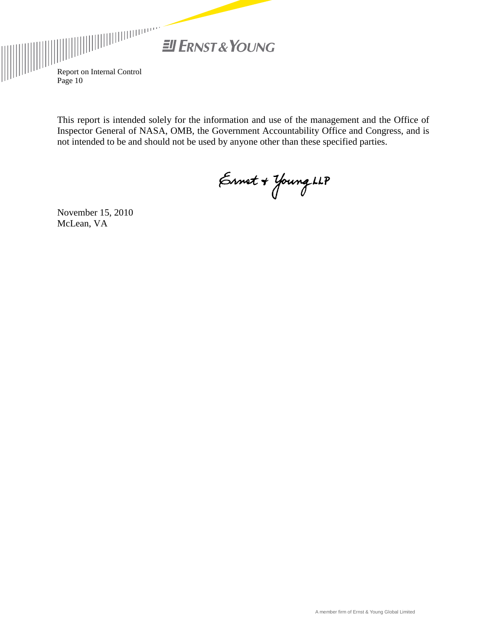

 $\begin{equation*} \begin{aligned} \begin{aligned} \text{Report on Internal Control} \end{aligned} \end{equation*} \end{equation*}$ Page 10

> This report is intended solely for the information and use of the management and the Office of Inspector General of NASA, OMB, the Government Accountability Office and Congress, and is not intended to be and should not be used by anyone other than these specified parties.

Ernet + Young LLP

November 15, 2010 McLean, VA